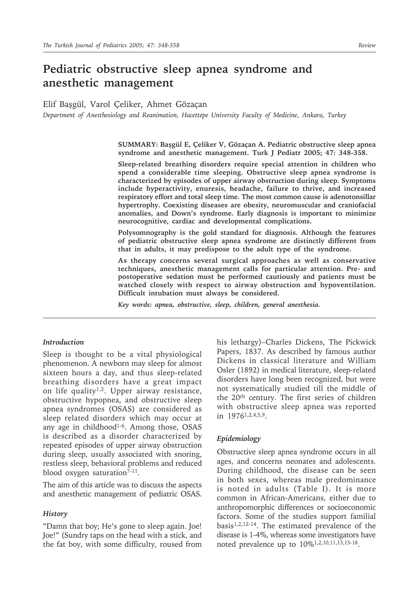# **Pediatric obstructive sleep apnea syndrome and anesthetic management**

Elif Başgül, Varol Çeliker, Ahmet Gözaçan

*Department of Anesthesiology and Reanimation, Hacettepe University Faculty of Medicine, Ankara, Turkey*

**SUMMARY: Başgül E, Çeliker V, Gözaçan A. Pediatric obstructive sleep apnea syndrome and anesthetic management. Turk J Pediatr 2005; 47: 348-358.**

**Sleep-related breathing disorders require special attention in children who spend a considerable time sleeping. Obstructive sleep apnea syndrome is characterized by episodes of upper airway obstruction during sleep. Symptoms include hyperactivity, enuresis, headache, failure to thrive, and increased respiratory effort and total sleep time. The most common cause is adenotonsillar hypertrophy. Coexisting diseases are obesity, neuromuscular and craniofacial anomalies, and Down's syndrome. Early diagnosis is important to minimize neurocognitive, cardiac and developmental complications.**

**Polysomnography is the gold standard for diagnosis. Although the features of pediatric obstructive sleep apnea syndrome are distinctly different from that in adults, it may predispose to the adult type of the syndrome.**

**As therapy concerns several surgical approaches as well as conservative techniques, anesthetic management calls for particular attention. Pre- and postoperative sedation must be performed cautiously and patients must be watched closely with respect to airway obstruction and hypoventilation. Difficult intubation must always be considered.**

*Key words: apnea, obstructive, sleep, children, general anesthesia.*

### *Introduction*

Sleep is thought to be a vital physiological phenomenon. A newborn may sleep for almost sixteen hours a day, and thus sleep-related breathing disorders have a great impact on life quality<sup>1,2</sup>. Upper airway resistance, obstructive hypopnea, and obstructive sleep apnea syndromes (OSAS) are considered as sleep related disorders which may occur at any age in childhood<sup>1-6</sup>. Among those, OSAS is described as a disorder characterized by repeated episodes of upper airway obstruction during sleep, usually associated with snoring, restless sleep, behavioral problems and reduced blood oxygen saturation<sup>7-11</sup>.

The aim of this article was to discuss the aspects and anesthetic management of pediatric OSAS.

#### *History*

"Damn that boy; He's gone to sleep again. Joe! Joe!" (Sundry taps on the head with a stick, and the fat boy, with some difficulty, roused from his lethargy)–Charles Dickens, The Pickwick Papers, 1837. As described by famous author Dickens in classical literature and William Osler (1892) in medical literature, sleep-related disorders have long been recognized, but were not systematically studied till the middle of the 20th century. The first series of children with obstructive sleep apnea was reported in 19761,2,4,5,9.

#### *Epidemiology*

Obstructive sleep apnea syndrome occurs in all ages, and concerns neonates and adolescents. During childhood, the disease can be seen in both sexes, whereas male predominance is noted in adults (Table I). It is more common in African-Americans, either due to anthropomorphic differences or socioeconomic factors. Some of the studies support familial  $basis<sup>1,2,12-14</sup>$ . The estimated prevalence of the disease is 1-4%, whereas some investigators have noted prevalence up to 10%1,2,10,11,13,15-18.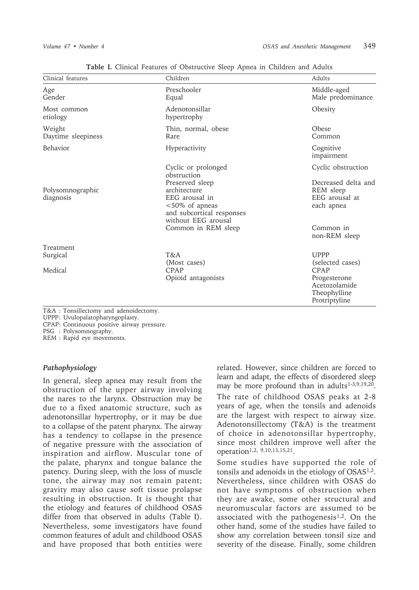| Clinical features                | Children                                                                                                                                                                             | Adults                                                                                                               |
|----------------------------------|--------------------------------------------------------------------------------------------------------------------------------------------------------------------------------------|----------------------------------------------------------------------------------------------------------------------|
| Age<br>Gender                    | Preschooler<br>Equal                                                                                                                                                                 | Middle-aged<br>Male predominance                                                                                     |
| Most common<br>etiology          | Adenotonsillar<br>hypertrophy                                                                                                                                                        | Obesity                                                                                                              |
| Weight<br>Daytime sleepiness     | Thin, normal, obese<br>Rare                                                                                                                                                          | Obese<br>Common                                                                                                      |
| Behavior                         | Hyperactivity                                                                                                                                                                        | Cognitive<br>impairment                                                                                              |
| Polysomnographic<br>diagnosis    | Cyclic or prolonged<br>obstruction<br>Preserved sleep<br>architecture<br>EEG arousal in<br><50% of apneas<br>and subcortical responses<br>without EEG arousal<br>Common in REM sleep | Cyclic obstruction<br>Decreased delta and<br>REM sleep<br>EEG arousal at<br>each apnea<br>Common in<br>non-REM sleep |
| Treatment<br>Surgical<br>Medical | T&A<br>(Most cases)<br>CPAP<br>Opioid antagonists                                                                                                                                    | <b>UPPP</b><br>(selected cases)<br>CPAP<br>Progesterone<br>Acetozolamide<br>Theophylline<br>Protriptyline            |

**Table I.** Clinical Features of Obstructive Sleep Apnea in Children and Adults

T&A : Tonsillectomy and adenoidectomy.

UPPP : Uvulopalatopharyngoplasty.

CPAP: Continuous positive airway pressure.

PSG : Polysomnography.

REM : Rapid eye movements.

#### *Pathophysiology*

In general, sleep apnea may result from the obstruction of the upper airway involving the nares to the larynx. Obstruction may be due to a fixed anatomic structure, such as adenotonsillar hypertrophy, or it may be due to a collapse of the patent pharynx. The airway has a tendency to collapse in the presence of negative pressure with the association of inspiration and airflow. Muscular tone of the palate, pharynx and tongue balance the patency. During sleep, with the loss of muscle tone, the airway may not remain patent; gravity may also cause soft tissue prolapse resulting in obstruction. It is thought that the etiology and features of childhood OSAS differ from that observed in adults (Table I). Nevertheless, some investigators have found common features of adult and childhood OSAS and have proposed that both entities were

related. However, since children are forced to learn and adapt, the effects of disordered sleep may be more profound than in adults<sup>1-3,9,19,20</sup>. The rate of childhood OSAS peaks at 2-8 years of age, when the tonsils and adenoids are the largest with respect to airway size. Adenotonsillectomy (T&A) is the treatment of choice in adenotonsillar hypertrophy, since most children improve well after the operation1,2, 9,10,13,15,21.

Some studies have supported the role of tonsils and adenoids in the etiology of OSAS1,2. Nevertheless, since children with OSAS do not have symptoms of obstruction when they are awake, some other structural and neuromuscular factors are assumed to be associated with the pathogenesis<sup>1,2</sup>. On the other hand, some of the studies have failed to show any correlation between tonsil size and severity of the disease. Finally, some children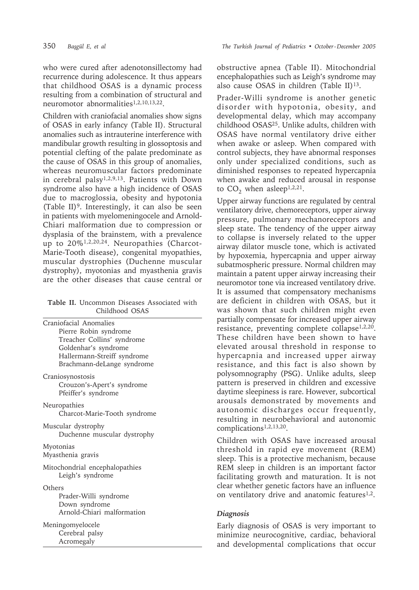who were cured after adenotonsillectomy had recurrence during adolescence. It thus appears that childhood OSAS is a dynamic process resulting from a combination of structural and neuromotor abnormalities1,2,10,13,22.

Children with craniofacial anomalies show signs of OSAS in early infancy (Table II). Structural anomalies such as intrauterine interference with mandibular growth resulting in glossoptosis and potential clefting of the palate predominate as the cause of OSAS in this group of anomalies, whereas neuromuscular factors predominate in cerebral palsy<sup>1,2,9,13</sup>. Patients with Down syndrome also have a high incidence of OSAS due to macroglossia, obesity and hypotonia (Table II)9. Interestingly, it can also be seen in patients with myelomeningocele and Arnold-Chiari malformation due to compression or dysplasia of the brainstem, with a prevalence up to 20%1,2,20,24. Neuropathies (Charcot-Marie-Tooth disease), congenital myopathies, muscular dystrophies (Duchenne muscular dystrophy), myotonias and myasthenia gravis are the other diseases that cause central or

#### **Table II.** Uncommon Diseases Associated with Childhood OSAS

| Craniofacial Anomalies<br>Pierre Robin syndrome<br>Treacher Collins' syndrome<br>Goldenhar's syndrome<br>Hallermann-Streiff syndrome<br>Brachmann-deLange syndrome |  |
|--------------------------------------------------------------------------------------------------------------------------------------------------------------------|--|
| Craniosynostosis<br>Crouzon's-Apert's syndrome<br>Pfeiffer's syndrome                                                                                              |  |
| Neuropathies<br>Charcot-Marie-Tooth syndrome                                                                                                                       |  |
| Muscular dystrophy<br>Duchenne muscular dystrophy                                                                                                                  |  |
| Myotonias<br>Myasthenia gravis                                                                                                                                     |  |
| Mitochondrial encephalopathies<br>Leigh's syndrome                                                                                                                 |  |
| Others<br>Prader-Willi syndrome<br>Down syndrome<br>Arnold-Chiari malformation                                                                                     |  |
| Meningomyelocele<br>Cerebral palsy<br>Acromegaly                                                                                                                   |  |

obstructive apnea (Table II). Mitochondrial encephalopathies such as Leigh's syndrome may also cause OSAS in children (Table II)<sup>13</sup>.

Prader-Willi syndrome is another genetic disorder with hypotonia, obesity, and developmental delay, which may accompany childhood OSAS25. Unlike adults, children with OSAS have normal ventilatory drive either when awake or asleep. When compared with control subjects, they have abnormal responses only under specialized conditions, such as diminished responses to repeated hypercapnia when awake and reduced arousal in response to  $CO_2$  when asleep<sup>1,2,21</sup>.

Upper airway functions are regulated by central ventilatory drive, chemoreceptors, upper airway pressure, pulmonary mechanoreceptors and sleep state. The tendency of the upper airway to collapse is inversely related to the upper airway dilator muscle tone, which is activated by hypoxemia, hypercapnia and upper airway subatmospheric pressure. Normal children may maintain a patent upper airway increasing their neuromotor tone via increased ventilatory drive. It is assumed that compensatory mechanisms are deficient in children with OSAS, but it was shown that such children might even partially compensate for increased upper airway resistance, preventing complete collapse1,2,20. These children have been shown to have elevated arousal threshold in response to hypercapnia and increased upper airway resistance, and this fact is also shown by polysomnography (PSG). Unlike adults, sleep pattern is preserved in children and excessive daytime sleepiness is rare. However, subcortical arousals demonstrated by movements and autonomic discharges occur frequently, resulting in neurobehavioral and autonomic complications1,2,13,20.

Children with OSAS have increased arousal threshold in rapid eye movement (REM) sleep. This is a protective mechanism, because REM sleep in children is an important factor facilitating growth and maturation. It is not clear whether genetic factors have an influence on ventilatory drive and anatomic features<sup>1,2</sup>.

# *Diagnosis*

Early diagnosis of OSAS is very important to minimize neurocognitive, cardiac, behavioral and developmental complications that occur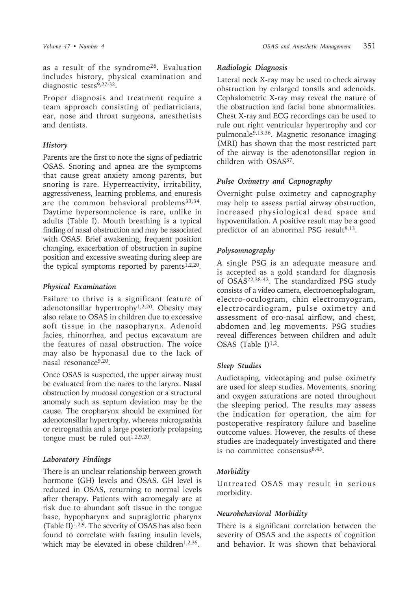as a result of the syndrome26. Evaluation includes history, physical examination and diagnostic tests<sup>9,27-32</sup>.

Proper diagnosis and treatment require a team approach consisting of pediatricians, ear, nose and throat surgeons, anesthetists and dentists.

### *History*

Parents are the first to note the signs of pediatric OSAS. Snoring and apnea are the symptoms that cause great anxiety among parents, but snoring is rare. Hyperreactivity, irritability, aggressiveness, learning problems, and enuresis are the common behavioral problems<sup>33,34</sup>. Daytime hypersomnolence is rare, unlike in adults (Table I). Mouth breathing is a typical finding of nasal obstruction and may be associated with OSAS. Brief awakening, frequent position changing, exacerbation of obstruction in supine position and excessive sweating during sleep are the typical symptoms reported by parents<sup>1,2,20</sup>.

### *Physical Examination*

Failure to thrive is a significant feature of adenotonsillar hypertrophy1,2,20. Obesity may also relate to OSAS in children due to excessive soft tissue in the nasopharynx. Adenoid facies, rhinorrhea, and pectus excavatum are the features of nasal obstruction. The voice may also be hyponasal due to the lack of nasal resonance9,20.

Once OSAS is suspected, the upper airway must be evaluated from the nares to the larynx. Nasal obstruction by mucosal congestion or a structural anomaly such as septum deviation may be the cause. The oropharynx should be examined for adenotonsillar hypertrophy, whereas micrognathia or retrognathia and a large posteriorly prolapsing tongue must be ruled out<sup> $1,2,9,20$ </sup>.

### *Laboratory Findings*

There is an unclear relationship between growth hormone (GH) levels and OSAS. GH level is reduced in OSAS, returning to normal levels after therapy. Patients with acromegaly are at risk due to abundant soft tissue in the tongue base, hypopharynx and supraglottic pharynx (Table II)<sup>1,2,9</sup>. The severity of OSAS has also been found to correlate with fasting insulin levels, which may be elevated in obese children<sup>1,2,35</sup>.

### *Radiologic Diagnosis*

Lateral neck X-ray may be used to check airway obstruction by enlarged tonsils and adenoids. Cephalometric X-ray may reveal the nature of the obstruction and facial bone abnormalities. Chest X-ray and ECG recordings can be used to rule out right ventricular hypertrophy and cor pulmonale9,13,36. Magnetic resonance imaging (MRI) has shown that the most restricted part of the airway is the adenotonsillar region in children with OSAS37.

#### *Pulse Oximetry and Capnography*

Overnight pulse oximetry and capnography may help to assess partial airway obstruction, increased physiological dead space and hypoventilation. A positive result may be a good predictor of an abnormal PSG result $8,13$ .

### *Polysomnography*

A single PSG is an adequate measure and is accepted as a gold standard for diagnosis of OSAS22,38-42. The standardized PSG study consists of a video camera, electroencephalogram, electro-oculogram, chin electromyogram, electrocardiogram, pulse oximetry and assessment of oro-nasal airflow, and chest, abdomen and leg movements. PSG studies reveal differences between children and adult OSAS (Table I) $1,2$ .

#### *Sleep Studies*

Audiotaping, videotaping and pulse oximetry are used for sleep studies. Movements, snoring and oxygen saturations are noted throughout the sleeping period. The results may assess the indication for operation, the aim for postoperative respiratory failure and baseline outcome values. However, the results of these studies are inadequately investigated and there is no committee consensus $8,43$ .

### *Morbidity*

Untreated OSAS may result in serious morbidity.

### *Neurobehavioral Morbidity*

There is a significant correlation between the severity of OSAS and the aspects of cognition and behavior. It was shown that behavioral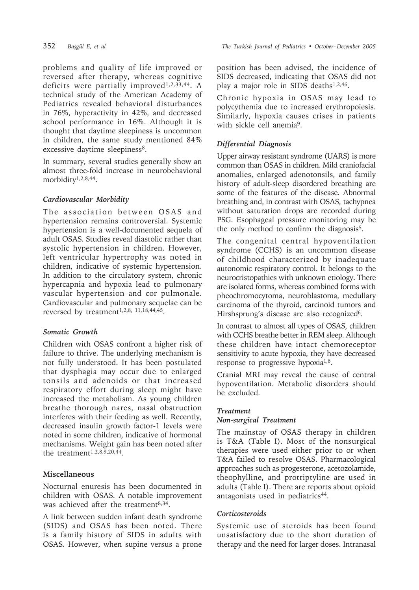problems and quality of life improved or reversed after therapy, whereas cognitive deficits were partially improved<sup>1,2,33,44</sup>. A technical study of the American Academy of Pediatrics revealed behavioral disturbances in 76%, hyperactivity in 42%, and decreased school performance in 16%. Although it is thought that daytime sleepiness is uncommon in children, the same study mentioned 84% excessive daytime sleepiness<sup>8</sup>.

In summary, several studies generally show an almost three-fold increase in neurobehavioral morbidity1,2,8,44.

### *Cardiovascular Morbidity*

The association between OSAS and hypertension remains controversial. Systemic hypertension is a well-documented sequela of adult OSAS. Studies reveal diastolic rather than systolic hypertension in children. However, left ventricular hypertrophy was noted in children, indicative of systemic hypertension. In addition to the circulatory system, chronic hypercapnia and hypoxia lead to pulmonary vascular hypertension and cor pulmonale. Cardiovascular and pulmonary sequelae can be reversed by treatment<sup>1,2,8, 11,18,44,45</sup>.

### *Somatic Growth*

Children with OSAS confront a higher risk of failure to thrive. The underlying mechanism is not fully understood. It has been postulated that dysphagia may occur due to enlarged tonsils and adenoids or that increased respiratory effort during sleep might have increased the metabolism. As young children breathe thorough nares, nasal obstruction interferes with their feeding as well. Recently, decreased insulin growth factor-1 levels were noted in some children, indicative of hormonal mechanisms. Weight gain has been noted after the treatment<sup>1,2,8,9,20,44</sup>.

### **Miscellaneous**

Nocturnal enuresis has been documented in children with OSAS. A notable improvement was achieved after the treatment<sup>8,34</sup>.

A link between sudden infant death syndrome (SIDS) and OSAS has been noted. There is a family history of SIDS in adults with OSAS. However, when supine versus a prone

position has been advised, the incidence of SIDS decreased, indicating that OSAS did not play a major role in SIDS deaths1,2,46.

Chronic hypoxia in OSAS may lead to polycythemia due to increased erythropoiesis. Similarly, hypoxia causes crises in patients with sickle cell anemia<sup>9</sup>.

### *Differential Diagnosis*

Upper airway resistant syndrome (UARS) is more common than OSAS in children. Mild craniofacial anomalies, enlarged adenotonsils, and family history of adult-sleep disordered breathing are some of the features of the disease. Abnormal breathing and, in contrast with OSAS, tachypnea without saturation drops are recorded during PSG. Esophageal pressure monitoring may be the only method to confirm the diagnosis<sup>5</sup>.

The congenital central hypoventilation syndrome (CCHS) is an uncommon disease of childhood characterized by inadequate autonomic respiratory control. It belongs to the neurocristopathies with unknown etiology. There are isolated forms, whereas combined forms with pheochromocytoma, neuroblastoma, medullary carcinoma of the thyroid, carcinoid tumors and Hirshsprung's disease are also recognized<sup>6</sup>.

In contrast to almost all types of OSAS, children with CCHS breathe better in REM sleep. Although these children have intact chemoreceptor sensitivity to acute hypoxia, they have decreased response to progressive hypoxia1,6.

Cranial MRI may reveal the cause of central hypoventilation. Metabolic disorders should be excluded.

### *Treatment*

### *Non-surgical Treatment*

The mainstay of OSAS therapy in children is T&A (Table I). Most of the nonsurgical therapies were used either prior to or when T&A failed to resolve OSAS. Pharmacological approaches such as progesterone, acetozolamide, theophylline, and protriptyline are used in adults (Table I). There are reports about opioid antagonists used in pediatrics<sup>44</sup>.

### *Corticosteroids*

Systemic use of steroids has been found unsatisfactory due to the short duration of therapy and the need for larger doses. Intranasal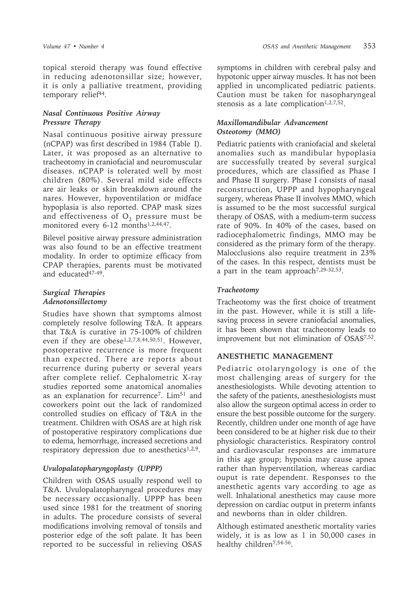topical steroid therapy was found effective in reducing adenotonsillar size; however, it is only a palliative treatment, providing temporary relief<sup>44</sup>.

### *Nasal Continuous Positive Airway Pressure Therapy*

Nasal continuous positive airway pressure (nCPAP) was first described in 1984 (Table I). Later, it was proposed as an alternative to tracheotomy in craniofacial and neuromuscular diseases. nCPAP is tolerated well by most children (80%). Several mild side effects are air leaks or skin breakdown around the nares. However, hypoventilation or midface hypoplasia is also reported. CPAP mask sizes and effectiveness of  $O_2$  pressure must be monitored every 6-12 months<sup>1,2,44,47</sup>.

Bilevel positive airway pressure administration was also found to be an effective treatment modality. In order to optimize efficacy from CPAP therapies, parents must be motivated and educated<sup>47-49</sup>.

### *Surgical Therapies Adenotonsillectomy*

Studies have shown that symptoms almost completely resolve following T&A. It appears that T&A is curative in 75-100% of children even if they are obese<sup>1,2,7,8,44,50,51</sup>. However, postoperative recurrence is more frequent than expected. There are reports about recurrence during puberty or several years after complete relief. Cephalometric X-ray studies reported some anatomical anomalies as an explanation for recurrence<sup>7</sup>. Lim<sup>51</sup> and coworkers point out the lack of randomized controlled studies on efficacy of T&A in the treatment. Children with OSAS are at high risk of postoperative respiratory complications due to edema, hemorrhage, increased secretions and respiratory depression due to anesthetics<sup>1,2,9</sup>.

### *Uvulopalatopharyngoplasty (UPPP)*

Children with OSAS usually respond well to T&A. Uvulopalatopharyngeal procedures may be necessary occasionally. UPPP has been used since 1981 for the treatment of snoring in adults. The procedure consists of several modifications involving removal of tonsils and posterior edge of the soft palate. It has been reported to be successful in relieving OSAS

symptoms in children with cerebral palsy and hypotonic upper airway muscles. It has not been applied in uncomplicated pediatric patients. Caution must be taken for nasopharyngeal stenosis as a late complication<sup>1,2,7,52</sup>.

### *Maxillomandibular Advancement Osteotomy (MMO)*

Pediatric patients with craniofacial and skeletal anomalies such as mandibular hypoplasia are successfully treated by several surgical procedures, which are classified as Phase I and Phase II surgery. Phase I consists of nasal reconstruction, UPPP and hypopharyngeal surgery, whereas Phase II involves MMO, which is assumed to be the most successful surgical therapy of OSAS, with a medium-term success rate of 90%. In 40% of the cases, based on radiocephalometric findings, MMO may be considered as the primary form of the therapy. Malocclusions also require treatment in 23% of the cases. In this respect, dentists must be a part in the team approach<sup>7,29-32,53</sup>.

### *Tracheotomy*

Tracheotomy was the first choice of treatment in the past. However, while it is still a lifesaving process in severe craniofacial anomalies, it has been shown that tracheotomy leads to improvement but not elimination of OSAS7,52.

### **ANESTHETIC MANAGEMENT**

Pediatric otolaryngology is one of the most challenging areas of surgery for the anesthesiologists. While devoting attention to the safety of the patients, anesthesiologists must also allow the surgeon optimal access in order to ensure the best possible outcome for the surgery. Recently, children under one month of age have been considered to be at higher risk due to their physiologic characteristics. Respiratory control and cardiovascular responses are immature in this age group; hypoxia may cause apnea rather than hyperventilation, whereas cardiac ouput is rate dependent. Responses to the anesthetic agents vary according to age as well. Inhalational anesthetics may cause more depression on cardiac output in preterm infants and newborns than in older children.

Although estimated anesthetic mortality varies widely, it is as low as 1 in 50,000 cases in healthy children<sup>7,54-56</sup>.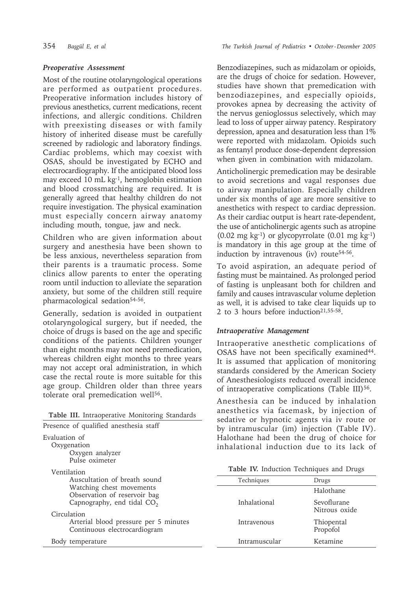### *Preoperative Assessment*

Most of the routine otolaryngological operations are performed as outpatient procedures. Preoperative information includes history of previous anesthetics, current medications, recent infections, and allergic conditions. Children with preexisting diseases or with family history of inherited disease must be carefully screened by radiologic and laboratory findings. Cardiac problems, which may coexist with OSAS, should be investigated by ECHO and electrocardiography. If the anticipated blood loss may exceed 10 mL kg<sup>-1</sup>, hemoglobin estimation and blood crossmatching are required. It is generally agreed that healthy children do not require investigation. The physical examination must especially concern airway anatomy including mouth, tongue, jaw and neck.

Children who are given information about surgery and anesthesia have been shown to be less anxious, nevertheless separation from their parents is a traumatic process. Some clinics allow parents to enter the operating room until induction to alleviate the separation anxiety, but some of the children still require pharmacological sedation<sup>54-56</sup>.

Generally, sedation is avoided in outpatient otolaryngological surgery, but if needed, the choice of drugs is based on the age and specific conditions of the patients. Children younger than eight months may not need premedication, whereas children eight months to three years may not accept oral administration, in which case the rectal route is more suitable for this age group. Children older than three years tolerate oral premedication well<sup>56</sup>.

|  |  | Table III. Intraoperative Monitoring Standards |  |  |
|--|--|------------------------------------------------|--|--|
|--|--|------------------------------------------------|--|--|

| Presence of qualified anesthesia staff                                                                                                  |
|-----------------------------------------------------------------------------------------------------------------------------------------|
| Evaluation of<br>Oxygenation<br>Oxygen analyzer<br>Pulse oximeter                                                                       |
| Ventilation<br>Auscultation of breath sound<br>Watching chest movements<br>Observation of reservoir bag<br>Capnography, end tidal $CO2$ |
| Circulation<br>Arterial blood pressure per 5 minutes<br>Continuous electrocardiogram                                                    |
| Body temperature                                                                                                                        |

Benzodiazepines, such as midazolam or opioids, are the drugs of choice for sedation. However, studies have shown that premedication with benzodiazepines, and especially opioids, provokes apnea by decreasing the activity of the nervus genioglossus selectively, which may lead to loss of upper airway patency. Respiratory depression, apnea and desaturation less than 1% were reported with midazolam. Opioids such as fentanyl produce dose-dependent depression when given in combination with midazolam.

Anticholinergic premedication may be desirable to avoid secretions and vagal responses due to airway manipulation. Especially children under six months of age are more sensitive to anesthetics with respect to cardiac depression. As their cardiac output is heart rate-dependent, the use of anticholinergic agents such as atropine  $(0.02 \text{ mg kg}^{-1})$  or glycopyrrolate  $(0.01 \text{ mg kg}^{-1})$ is mandatory in this age group at the time of induction by intravenous (iv) route<sup>54-56</sup>.

To avoid aspiration, an adequate period of fasting must be maintained. As prolonged period of fasting is unpleasant both for children and family and causes intravascular volume depletion as well, it is advised to take clear liquids up to 2 to 3 hours before induction<sup>21,55-58</sup>.

## *Intraoperative Management*

Intraoperative anesthetic complications of OSAS have not been specifically examined<sup>44</sup>. It is assumed that application of monitoring standards considered by the American Society of Anesthesiologists reduced overall incidence of intraoperative complications (Table III)<sup>56</sup>.

Anesthesia can be induced by inhalation anesthetics via facemask, by injection of sedative or hypnotic agents via iv route or by intramuscular (im) injection (Table IV). Halothane had been the drug of choice for inhalational induction due to its lack of

| Techniques    | Drugs                        |
|---------------|------------------------------|
|               | Halothane                    |
| Inhalational  | Sevoflurane<br>Nitrous oxide |
| Intravenous   | Thiopental<br>Propofol       |
| Intramuscular | Ketamine                     |
|               |                              |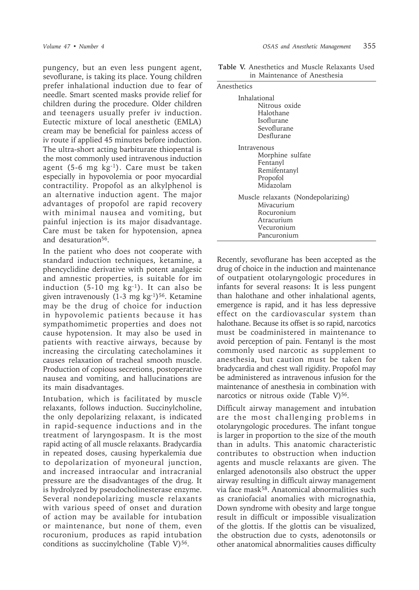pungency, but an even less pungent agent, sevoflurane, is taking its place. Young children prefer inhalational induction due to fear of needle. Smart scented masks provide relief for children during the procedure. Older children and teenagers usually prefer iv induction. Eutectic mixture of local anesthetic (EMLA) cream may be beneficial for painless access of iv route if applied 45 minutes before induction. The ultra-short acting barbiturate thiopental is the most commonly used intravenous induction agent (5-6 mg kg-1). Care must be taken especially in hypovolemia or poor myocardial contractility. Propofol as an alkylphenol is an alternative induction agent. The major advantages of propofol are rapid recovery with minimal nausea and vomiting, but painful injection is its major disadvantage. Care must be taken for hypotension, apnea and desaturation<sup>56</sup>.

In the patient who does not cooperate with standard induction techniques, ketamine, a phencyclidine derivative with potent analgesic and amnestic properties, is suitable for im induction  $(5-10 \text{ mg kg}^{-1})$ . It can also be given intravenously  $(1-3 \text{ mg kg}^{-1})^{56}$ . Ketamine may be the drug of choice for induction in hypovolemic patients because it has sympathomimetic properties and does not cause hypotension. It may also be used in patients with reactive airways, because by increasing the circulating catecholamines it causes relaxation of tracheal smooth muscle. Production of copious secretions, postoperative nausea and vomiting, and hallucinations are its main disadvantages.

Intubation, which is facilitated by muscle relaxants, follows induction. Succinylcholine, the only depolarizing relaxant, is indicated in rapid-sequence inductions and in the treatment of laryngospasm. It is the most rapid acting of all muscle relaxants. Bradycardia in repeated doses, causing hyperkalemia due to depolarization of myoneural junction, and increased intraocular and intracranial pressure are the disadvantages of the drug. It is hydrolyzed by pseudocholinesterase enzyme. Several nondepolarizing muscle relaxants with various speed of onset and duration of action may be available for intubation or maintenance, but none of them, even rocuronium, produces as rapid intubation conditions as succinylcholine (Table V) $56$ .

**Table V.** Anesthetics and Muscle Relaxants Used in Maintenance of Anesthesia

| Anesthetics                        |  |  |
|------------------------------------|--|--|
| Inhalational<br>Nitrous oxide      |  |  |
| Halothane                          |  |  |
| Isoflurane                         |  |  |
| Sevoflurane                        |  |  |
| Desflurane                         |  |  |
| Intravenous                        |  |  |
| Morphine sulfate                   |  |  |
| Fentanyl                           |  |  |
| Remifentanyl                       |  |  |
| Propofol<br>Midazolam              |  |  |
|                                    |  |  |
| Muscle relaxants (Nondepolarizing) |  |  |
| Mivacurium                         |  |  |
| Rocuronium                         |  |  |
| Atracurium                         |  |  |
| Vecuronium<br>Pancuronium          |  |  |
|                                    |  |  |

Recently, sevoflurane has been accepted as the drug of choice in the induction and maintenance of outpatient otolaryngologic procedures in infants for several reasons: It is less pungent than halothane and other inhalational agents, emergence is rapid, and it has less depressive effect on the cardiovascular system than halothane. Because its offset is so rapid, narcotics must be coadministered in maintenance to avoid perception of pain. Fentanyl is the most commonly used narcotic as supplement to anesthesia, but caution must be taken for bradycardia and chest wall rigidity. Propofol may be administered as intravenous infusion for the maintenance of anesthesia in combination with narcotics or nitrous oxide (Table V)<sup>56</sup>.

Difficult airway management and intubation are the most challenging problems in otolaryngologic procedures. The infant tongue is larger in proportion to the size of the mouth than in adults. This anatomic characteristic contributes to obstruction when induction agents and muscle relaxants are given. The enlarged adenotonsils also obstruct the upper airway resulting in difficult airway management via face mask58. Anatomical abnormalities such as craniofacial anomalies with micrognathia, Down syndrome with obesity and large tongue result in difficult or impossible visualization of the glottis. If the glottis can be visualized, the obstruction due to cysts, adenotonsils or other anatomical abnormalities causes difficulty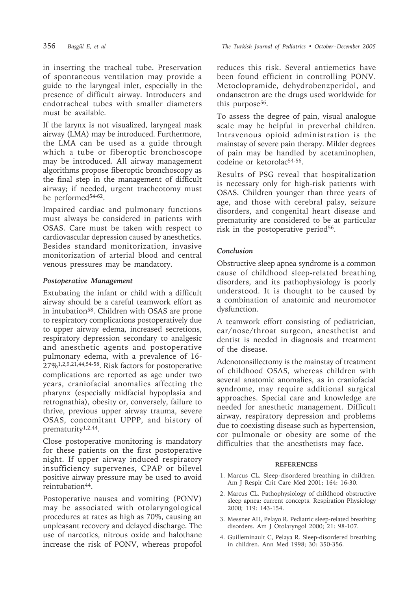in inserting the tracheal tube. Preservation of spontaneous ventilation may provide a guide to the laryngeal inlet, especially in the presence of difficult airway. Introducers and endotracheal tubes with smaller diameters must be available.

If the larynx is not visualized, laryngeal mask airway (LMA) may be introduced. Furthermore, the LMA can be used as a guide through which a tube or fiberoptic bronchoscope may be introduced. All airway management algorithms propose fiberoptic bronchoscopy as the final step in the management of difficult airway; if needed, urgent tracheotomy must be performed<sup>54-62</sup>.

Impaired cardiac and pulmonary functions must always be considered in patients with OSAS. Care must be taken with respect to cardiovascular depression caused by anesthetics. Besides standard monitorization, invasive monitorization of arterial blood and central venous pressures may be mandatory.

### *Postoperative Management*

Extubating the infant or child with a difficult airway should be a careful teamwork effort as in intubation58. Children with OSAS are prone to respiratory complications postoperatively due to upper airway edema, increased secretions, respiratory depression secondary to analgesic and anesthetic agents and postoperative pulmonary edema, with a prevalence of 16- 27%1,2,9,21,44,54-58. Risk factors for postoperative complications are reported as age under two years, craniofacial anomalies affecting the pharynx (especially midfacial hypoplasia and retrognathia), obesity or, conversely, failure to thrive, previous upper airway trauma, severe OSAS, concomitant UPPP, and history of prematurity1,2,44.

Close postoperative monitoring is mandatory for these patients on the first postoperative night. If upper airway induced respiratory insufficiency supervenes, CPAP or bilevel positive airway pressure may be used to avoid reintubation44.

Postoperative nausea and vomiting (PONV) may be associated with otolaryngological procedures at rates as high as 70%, causing an unpleasant recovery and delayed discharge. The use of narcotics, nitrous oxide and halothane increase the risk of PONV, whereas propofol reduces this risk. Several antiemetics have been found efficient in controlling PONV. Metoclopramide, dehydrobenzperidol, and ondansetron are the drugs used worldwide for this purpose<sup>56</sup>.

To assess the degree of pain, visual analogue scale may be helpful in preverbal children. Intravenous opioid administration is the mainstay of severe pain therapy. Milder degrees of pain may be handled by acetaminophen, codeine or ketorolac<sup>54-56</sup>.

Results of PSG reveal that hospitalization is necessary only for high-risk patients with OSAS. Children younger than three years of age, and those with cerebral palsy, seizure disorders, and congenital heart disease and prematurity are considered to be at particular risk in the postoperative period<sup>56</sup>.

### *Conclusion*

Obstructive sleep apnea syndrome is a common cause of childhood sleep-related breathing disorders, and its pathophysiology is poorly understood. It is thought to be caused by a combination of anatomic and neuromotor dysfunction.

A teamwork effort consisting of pediatrician, ear/nose/throat surgeon, anesthetist and dentist is needed in diagnosis and treatment of the disease.

Adenotonsillectomy is the mainstay of treatment of childhood OSAS, whereas children with several anatomic anomalies, as in craniofacial syndrome, may require additional surgical approaches. Special care and knowledge are needed for anesthetic management. Difficult airway, respiratory depression and problems due to coexisting disease such as hypertension, cor pulmonale or obesity are some of the difficulties that the anesthetists may face.

#### **REFERENCES**

- 1. Marcus CL. Sleep-disordered breathing in children. Am J Respir Crit Care Med 2001; 164: 16-30.
- 2. Marcus CL. Pathophysiology of childhood obstructive sleep apnea: current concepts. Respiration Physiology 2000; 119: 143-154.
- 3. Messner AH, Pelayo R. Pediatric sleep-related breathing disorders. Am J Otolaryngol 2000; 21: 98-107.
- 4. Guilleminault C, Pelaya R. Sleep-disordered breathing in children. Ann Med 1998; 30: 350-356.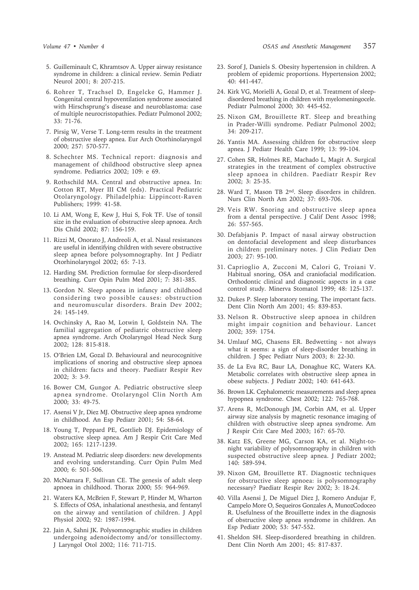- 5. Guilleminault C, Khramtsov A. Upper airway resistance syndrome in children: a clinical review. Semin Pediatr Neurol 2001; 8: 207-215.
- 6. Rohrer T, Trachsel D, Engelcke G, Hammer J. Congenital central hypoventilation syndrome associated with Hirschsprung's disease and neuroblastoma: case of multiple neurocristopathies. Pediatr Pulmonol 2002; 33: 71-76.
- 7. Pirsig W, Verse T. Long-term results in the treatment of obstructive sleep apnea. Eur Arch Otorhinolaryngol 2000; 257: 570-577.
- 8. Schechter MS. Technical report: diagnosis and management of childhood obstructive sleep apnea syndrome. Pediatrics 2002; 109: e 69.
- 9. Rothschild MA. Central and obstructive apnea. In: Cotton RT, Myer III CM (eds). Practical Pediatric Otolaryngology. Philadelphia: Lippincott-Raven Publishers; 1999: 41-58.
- 10. Li AM, Wong E, Kew J, Hui S, Fok TF. Use of tonsil size in the evaluation of obstructive sleep apnoea. Arch Dis Child 2002; 87: 156-159.
- 11. Rizzi M, Onorato J, Andreoli A, et al. Nasal resistances are useful in identifying children with severe obstructive sleep apnea before polysomnography. Int J Pediatr Otorhinolaryngol 2002; 65: 7-13.
- 12. Harding SM. Prediction formulae for sleep-disordered breathing. Curr Opin Pulm Med 2001; 7: 381-385.
- 13. Gordon N. Sleep apnoea in infancy and childhood considering two possible causes: obstruction and neuromuscular disorders. Brain Dev 2002; 24: 145-149.
- 14. Ovchinsky A, Rao M, Lotwin I, Goldstein NA. The familial aggregation of pediatric obstructive sleep apnea syndrome. Arch Otolaryngol Head Neck Surg 2002; 128: 815-818.
- 15. O'Brien LM, Gozal D. Behavioural and neurocognitive implications of snoring and obstructive sleep apnoea in children: facts and theory. Paediatr Respir Rev 2002; 3: 3-9.
- 16. Bower CM, Gungor A. Pediatric obstructive sleep apnea syndrome. Otolaryngol Clin North Am 2000; 33: 49-75.
- 17. Asensi V Jr, Diez MJ. Obstructive sleep apnea syndrome in childhood. An Esp Pediatr 2001; 54: 58-64.
- 18. Young T, Peppard PE, Gottlieb DJ. Epidemiology of obstructive sleep apnea. Am J Respir Crit Care Med 2002; 165: 1217-1239.
- 19. Anstead M. Pediatric sleep disorders: new developments and evolving understanding. Curr Opin Pulm Med 2000; 6: 501-506.
- 20. McNamara F, Sullivan CE. The genesis of adult sleep apnoea in childhood. Thorax 2000; 55: 964-969.
- 21. Waters KA, McBrien F, Stewart P, Hinder M, Wharton S. Effects of OSA, inhalational anesthesia, and fentanyl on the airway and ventilation of children. J Appl Physiol 2002; 92: 1987-1994.
- 22. Jain A, Sahni JK. Polysomnographic studies in children undergoing adenoidectomy and/or tonsillectomy. J Laryngol Otol 2002; 116: 711-715.
- 23. Sorof J, Daniels S. Obesity hypertension in children. A problem of epidemic proportions. Hypertension 2002; 40: 441-447.
- 24. Kirk VG, Morielli A, Gozal D, et al. Treatment of sleepdisordered breathing in children with myelomeningocele. Pediatr Pulmonol 2000; 30: 445-452.
- 25. Nixon GM, Brouillette RT. Sleep and breathing in Prader-Willi syndrome. Pediatr Pulmonol 2002; 34: 209-217.
- 26. Yantis MA. Assessing children for obstructive sleep apnea. J Pediatr Health Care 1999; 13: 99-104.
- 27. Cohen SR, Holmes RE, Machado L, Magit A. Surgical strategies in the treatment of complex obstructive sleep apnoea in children. Paediatr Respir Rev 2002; 3: 25-35.
- 28. Ward T, Mason TB 2nd. Sleep disorders in children. Nurs Clin North Am 2002; 37: 693-706.
- 29. Veis RW. Snoring and obstructive sleep apnea from a dental perspective. J Calif Dent Assoc 1998; 26: 557-565.
- 30. Defabjanis P. Impact of nasal airway obstruction on dentofacial development and sleep disturbances in children: preliminary notes. J Clin Pediatr Den 2003; 27: 95-100.
- 31. Caprioglio A, Zucconi M, Calori G, Troiani V. Habitual snoring, OSA and craniofacial modification. Orthodontic clinical and diagnostic aspects in a case control study. Minerva Stomatol 1999; 48: 125-137.
- 32. Dukes P. Sleep laboratory testing. The important facts. Dent Clin North Am 2001; 45: 839-853.
- 33. Nelson R. Obstructive sleep apnoea in children might impair cognition and behaviour. Lancet 2002; 359: 1754.
- 34. Umlauf MG, Chasens ER. Bedwetting not always what it seems: a sign of sleep-disorder breathing in children. J Spec Pediatr Nurs 2003; 8: 22-30.
- 35. de La Eva RC, Baur LA, Donaghue KC, Waters KA. Metabolic correlates with obstructive sleep apnea in obese subjects. J Pediatr 2002; 140: 641-643.
- 36. Brown LK. Cephalometric measurements and sleep apnea hypopnea syndrome. Chest 2002; 122: 765-768.
- 37. Arens R, McDonough JM, Corbin AM, et al. Upper airway size analysis by magnetic resonance imaging of children with obstructive sleep apnea syndrome. Am J Respir Crit Care Med 2003; 167: 65-70.
- 38. Katz ES, Greene MG, Carson KA, et al. Night-tonight variability of polysomnography in children with suspected obstructive sleep apnea. J Pediatr 2002; 140: 589-594.
- 39. Nixon GM, Brouillette RT. Diagnostic techniques for obstructive sleep apnoea: is polysomnography necessary? Paediatr Respir Rev 2002; 3: 18-24.
- 40. Villa Asensi J, De Miguel Diez J, Romero Andujar F, Campelo More O, Sequeiros Gonzales A, MunozCodoceo R. Usefulness of the Brouillette index in the diagnosis of obstructive sleep apnea syndrome in children. An Esp Pediatr 2000; 53: 547-552.
- 41. Sheldon SH. Sleep-disordered breathing in children. Dent Clin North Am 2001; 45: 817-837.